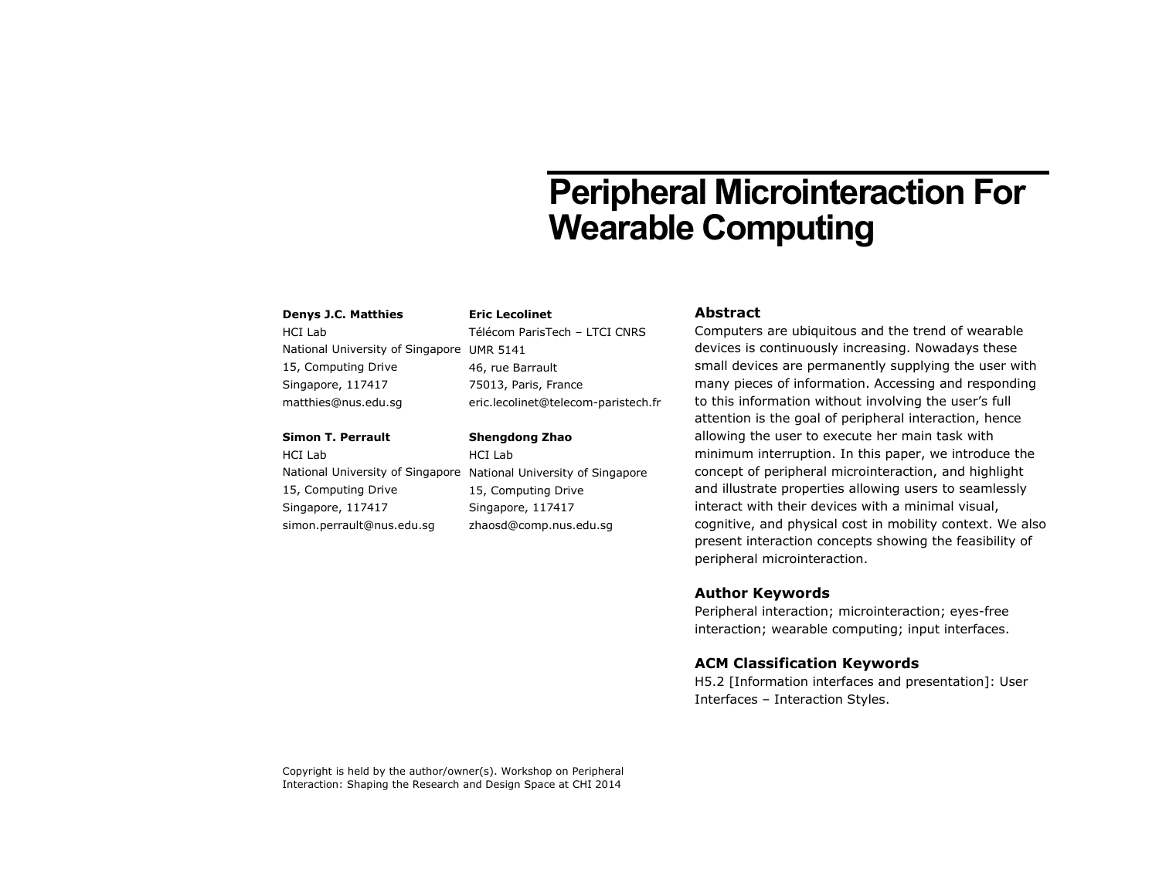# **Peripheral Microinteraction For Wearable Computing**

#### **Denys J.C. Matthies**

HCI Lab National University of Singapore UMR 5141 15, Computing Drive Singapore, 117417 matthies@nus.edu.sg

## **Simon T. Perrault**

HCI Lab 15, Computing Drive Singapore, 117417 simon.perrault@nus.edu.sg

**Eric Lecolinet** Télécom ParisTech – LTCI CNRS

46, rue Barrault 75013, Paris, France eric.lecolinet@telecom-paristech.fr

#### **Shengdong Zhao**

National University of Singapore National University of Singapore HCI Lab 15, Computing Drive Singapore, 117417 zhaosd@comp.nus.edu.sg

## **Abstract**

Computers are ubiquitous and the trend of wearable devices is continuously increasing. Nowadays these small devices are permanently supplying the user with many pieces of information. Accessing and responding to this information without involving the user's full attention is the goal of peripheral interaction, hence allowing the user to execute her main task with minimum interruption. In this paper, we introduce the concept of peripheral microinteraction, and highlight and illustrate properties allowing users to seamlessly interact with their devices with a minimal visual, cognitive, and physical cost in mobility context. We also present interaction concepts showing the feasibility of peripheral microinteraction.

## **Author Keywords**

Peripheral interaction; microinteraction; eyes-free interaction; wearable computing; input interfaces.

## **ACM Classification Keywords**

H5.2 [Information interfaces and presentation]: User Interfaces – Interaction Styles.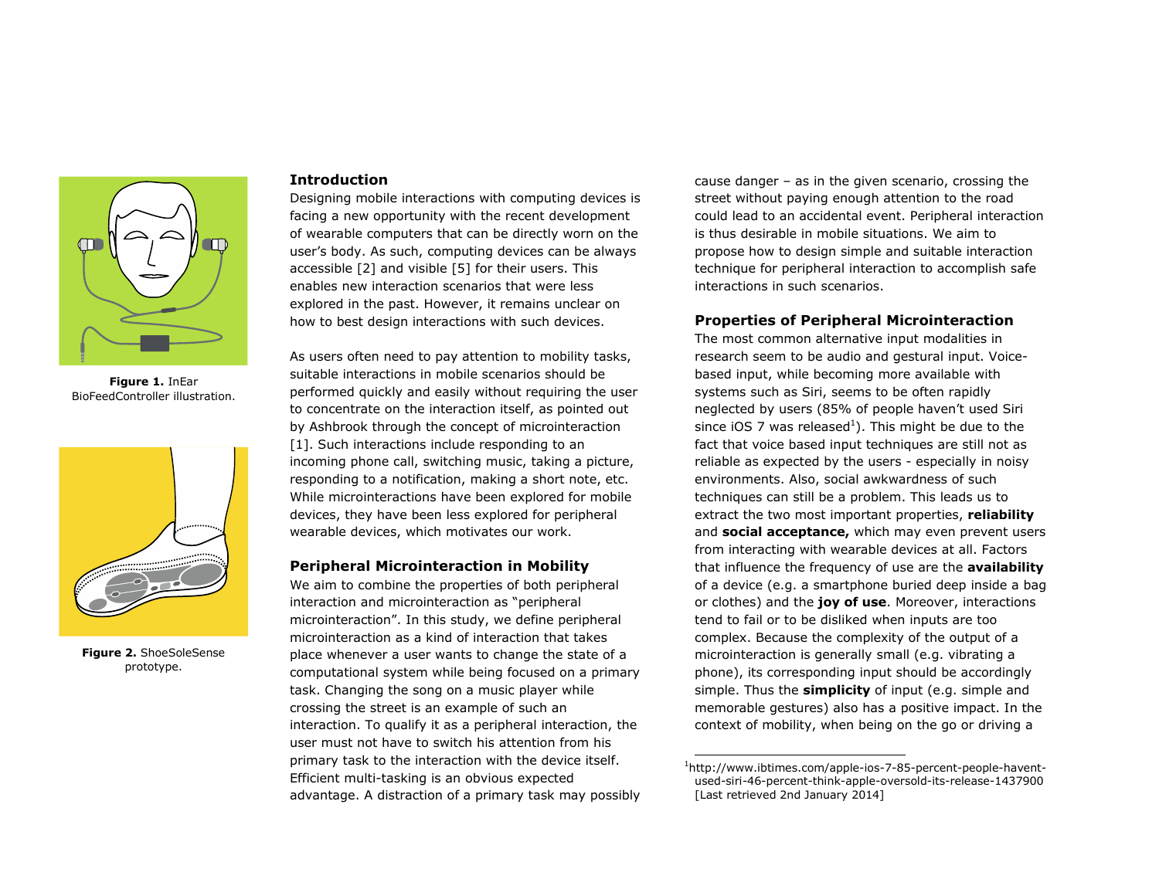

**Figure 1.** InEar BioFeedController illustration.

<span id="page-1-1"></span><span id="page-1-0"></span>

**Figure 2.** ShoeSoleSense prototype.

## **Introduction**

Designing mobile interactions with computing devices is facing a new opportunity with the recent development of wearable computers that can be directly worn on the user's body. As such, computing devices can be always accessible [\[2\]](#page-3-0) and visible [\[5\]](#page-3-1) for their users. This enables new interaction scenarios that were less explored in the past. However, it remains unclear on how to best design interactions with such devices.

As users often need to pay attention to mobility tasks, suitable interactions in mobile scenarios should be performed quickly and easily without requiring the user to concentrate on the interaction itself, as pointed out by Ashbrook through the concept of microinteraction [\[1\].](#page-3-2) Such interactions include responding to an incoming phone call, switching music, taking a picture, responding to a notification, making a short note, etc. While microinteractions have been explored for mobile devices, they have been less explored for peripheral wearable devices, which motivates our work.

#### **Peripheral Microinteraction in Mobility**

We aim to combine the properties of both peripheral interaction and microinteraction as "peripheral microinteraction". In this study, we define peripheral microinteraction as a kind of interaction that takes place whenever a user wants to change the state of a computational system while being focused on a primary task. Changing the song on a music player while crossing the street is an example of such an interaction. To qualify it as a peripheral interaction, the user must not have to switch his attention from his primary task to the interaction with the device itself. Efficient multi-tasking is an obvious expected advantage. A distraction of a primary task may possibly cause danger – as in the given scenario, crossing the street without paying enough attention to the road could lead to an accidental event. Peripheral interaction is thus desirable in mobile situations. We aim to propose how to design simple and suitable interaction technique for peripheral interaction to accomplish safe interactions in such scenarios.

# **Properties of Peripheral Microinteraction**

The most common alternative input modalities in research seem to be audio and gestural input. Voicebased input, while becoming more available with systems such as Siri, seems to be often rapidly neglected by users (85% of people haven't used Siri since iOS 7 was released<sup>1</sup>). This might be due to the fact that voice based input techniques are still not as reliable as expected by the users - especially in noisy environments. Also, social awkwardness of such techniques can still be a problem. This leads us to extract the two most important properties, **reliability** and **social acceptance,** which may even prevent users from interacting with wearable devices at all. Factors that influence the frequency of use are the **availability** of a device (e.g. a smartphone buried deep inside a bag or clothes) and the **joy of use**. Moreover, interactions tend to fail or to be disliked when inputs are too complex. Because the complexity of the output of a microinteraction is generally small (e.g. vibrating a phone), its corresponding input should be accordingly simple. Thus the **simplicity** of input (e.g. simple and memorable gestures) also has a positive impact. In the context of mobility, when being on the go or driving a

ł

<sup>&</sup>lt;sup>1</sup>http://www.ibtimes.com/apple-ios-7-85-percent-people-haventused-siri-46-percent-think-apple-oversold-its-release-1437900 [Last retrieved 2nd January 2014]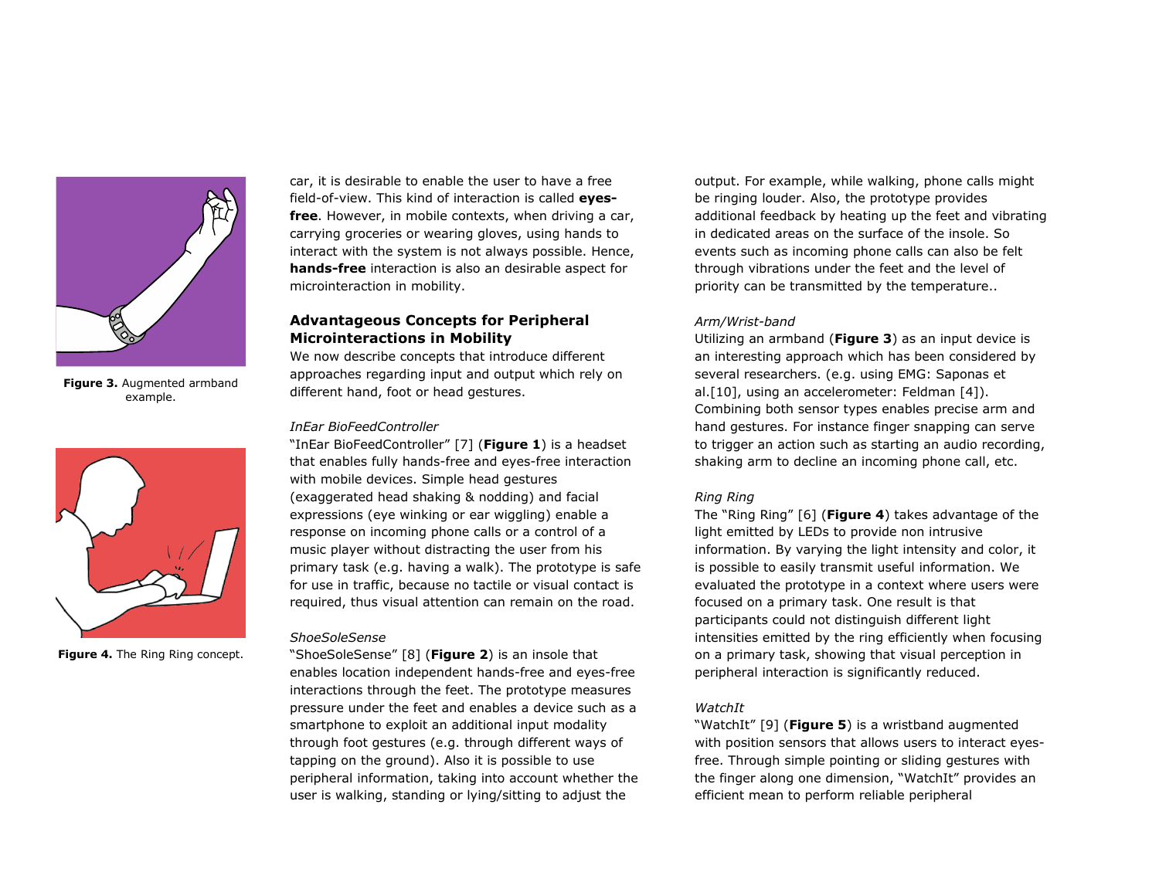

**Figure 3.** Augmented armband example.

<span id="page-2-1"></span><span id="page-2-0"></span>

**Figure 4.** The Ring Ring concept.

car, it is desirable to enable the user to have a free field-of-view. This kind of interaction is called **eyesfree**. However, in mobile contexts, when driving a car, carrying groceries or wearing gloves, using hands to interact with the system is not always possible. Hence, **hands-free** interaction is also an desirable aspect for microinteraction in mobility.

## **Advantageous Concepts for Peripheral Microinteractions in Mobility**

We now describe concepts that introduce different approaches regarding input and output which rely on different hand, foot or head gestures.

#### *InEar BioFeedController*

"InEar BioFeedController" [\[7\]](#page-3-3) (**[Figure 1](#page-1-0)**) is a headset that enables fully hands-free and eyes-free interaction with mobile devices. Simple head gestures (exaggerated head shaking & nodding) and facial expressions (eye winking or ear wiggling) enable a response on incoming phone calls or a control of a music player without distracting the user from his primary task (e.g. having a walk). The prototype is safe for use in traffic, because no tactile or visual contact is required, thus visual attention can remain on the road.

#### *ShoeSoleSense*

"ShoeSoleSense" [\[8\]](#page-3-4) (**[Figure 2](#page-1-1)**) is an insole that enables location independent hands-free and eyes-free interactions through the feet. The prototype measures pressure under the feet and enables a device such as a smartphone to exploit an additional input modality through foot gestures (e.g. through different ways of tapping on the ground). Also it is possible to use peripheral information, taking into account whether the user is walking, standing or lying/sitting to adjust the

output. For example, while walking, phone calls might be ringing louder. Also, the prototype provides additional feedback by heating up the feet and vibrating in dedicated areas on the surface of the insole. So events such as incoming phone calls can also be felt through vibrations under the feet and the level of priority can be transmitted by the temperature..

## *Arm/Wrist-band*

Utilizing an armband (**[Figure 3](#page-2-0)**) as an input device is an interesting approach which has been considered by several researchers. (e.g. using EMG: Saponas et al[.\[10\],](#page-3-5) using an accelerometer: Feldman [\[4\]\)](#page-3-6). Combining both sensor types enables precise arm and hand gestures. For instance finger snapping can serve to trigger an action such as starting an audio recording, shaking arm to decline an incoming phone call, etc.

#### *Ring Ring*

The "Ring Ring" [\[6\]](#page-3-7) (**[Figure 4](#page-2-1)**) takes advantage of the light emitted by LEDs to provide non intrusive information. By varying the light intensity and color, it is possible to easily transmit useful information. We evaluated the prototype in a context where users were focused on a primary task. One result is that participants could not distinguish different light intensities emitted by the ring efficiently when focusing on a primary task, showing that visual perception in peripheral interaction is significantly reduced.

#### *WatchIt*

"WatchIt" [\[9\]](#page-3-8) (**[Figure 5](#page-3-9)**) is a wristband augmented with position sensors that allows users to interact eyesfree. Through simple pointing or sliding gestures with the finger along one dimension, "WatchIt" provides an efficient mean to perform reliable peripheral